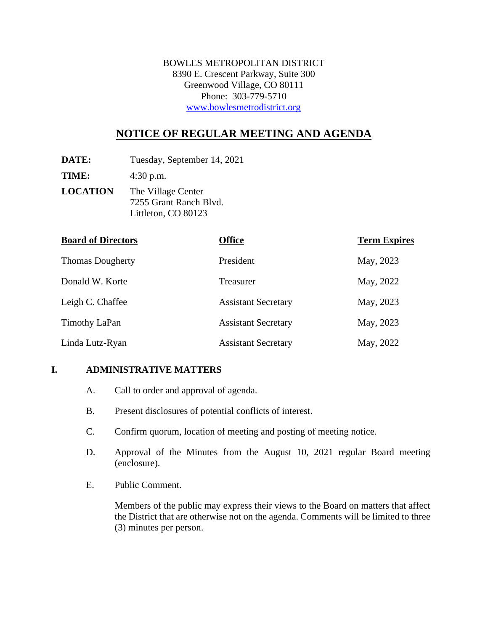BOWLES METROPOLITAN DISTRICT 8390 E. Crescent Parkway, Suite 300 Greenwood Village, CO 80111 Phone: 303-779-5710 www.bowlesmetrodistrict.org

# **NOTICE OF REGULAR MEETING AND AGENDA**

**DATE:** Tuesday, September 14, 2021

**TIME:** 4:30 p.m.

**LOCATION** The Village Center 7255 Grant Ranch Blvd. Littleton, CO 80123

| <b>Board of Directors</b> | <b>Office</b>              | <b>Term Expires</b> |
|---------------------------|----------------------------|---------------------|
| <b>Thomas Dougherty</b>   | President                  | May, 2023           |
| Donald W. Korte           | Treasurer                  | May, 2022           |
| Leigh C. Chaffee          | <b>Assistant Secretary</b> | May, 2023           |
| <b>Timothy LaPan</b>      | <b>Assistant Secretary</b> | May, 2023           |
| Linda Lutz-Ryan           | <b>Assistant Secretary</b> | May, 2022           |

#### **I. ADMINISTRATIVE MATTERS**

- A. Call to order and approval of agenda.
- B. Present disclosures of potential conflicts of interest.
- C. Confirm quorum, location of meeting and posting of meeting notice.
- D. Approval of the Minutes from the August 10, 2021 regular Board meeting (enclosure).
- E. Public Comment.

Members of the public may express their views to the Board on matters that affect the District that are otherwise not on the agenda. Comments will be limited to three (3) minutes per person.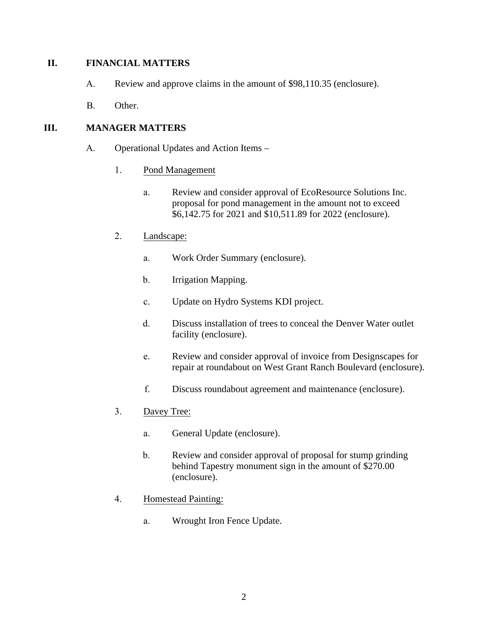### **II. FINANCIAL MATTERS**

- A. Review and approve claims in the amount of \$98,110.35 (enclosure).
- B. Other.

### **III. MANAGER MATTERS**

- A. Operational Updates and Action Items
	- 1. Pond Management
		- a. Review and consider approval of EcoResource Solutions Inc. proposal for pond management in the amount not to exceed \$6,142.75 for 2021 and \$10,511.89 for 2022 (enclosure).

### 2. Landscape:

- a. Work Order Summary (enclosure).
- b. Irrigation Mapping.
- c. Update on Hydro Systems KDI project.
- d. Discuss installation of trees to conceal the Denver Water outlet facility (enclosure).
- e. Review and consider approval of invoice from Designscapes for repair at roundabout on West Grant Ranch Boulevard (enclosure).
- f. Discuss roundabout agreement and maintenance (enclosure).
- 3. Davey Tree:
	- a. General Update (enclosure).
	- b. Review and consider approval of proposal for stump grinding behind Tapestry monument sign in the amount of \$270.00 (enclosure).
- 4. Homestead Painting:
	- a. Wrought Iron Fence Update.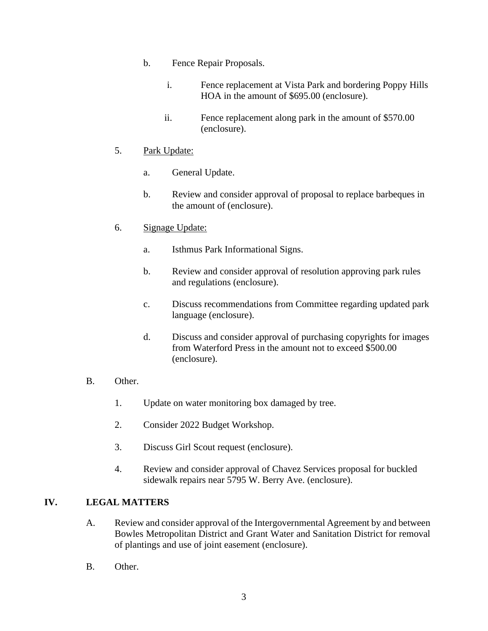- b. Fence Repair Proposals.
	- i. Fence replacement at Vista Park and bordering Poppy Hills HOA in the amount of \$695.00 (enclosure).
	- ii. Fence replacement along park in the amount of \$570.00 (enclosure).

## 5. Park Update:

- a. General Update.
- b. Review and consider approval of proposal to replace barbeques in the amount of (enclosure).
- 6. Signage Update:
	- a. Isthmus Park Informational Signs.
	- b. Review and consider approval of resolution approving park rules and regulations (enclosure).
	- c. Discuss recommendations from Committee regarding updated park language (enclosure).
	- d. Discuss and consider approval of purchasing copyrights for images from Waterford Press in the amount not to exceed \$500.00 (enclosure).

#### B. Other.

- 1. Update on water monitoring box damaged by tree.
- 2. Consider 2022 Budget Workshop.
- 3. Discuss Girl Scout request (enclosure).
- 4. Review and consider approval of Chavez Services proposal for buckled sidewalk repairs near 5795 W. Berry Ave. (enclosure).

## **IV. LEGAL MATTERS**

- A. Review and consider approval of the Intergovernmental Agreement by and between Bowles Metropolitan District and Grant Water and Sanitation District for removal of plantings and use of joint easement (enclosure).
- B. Other.